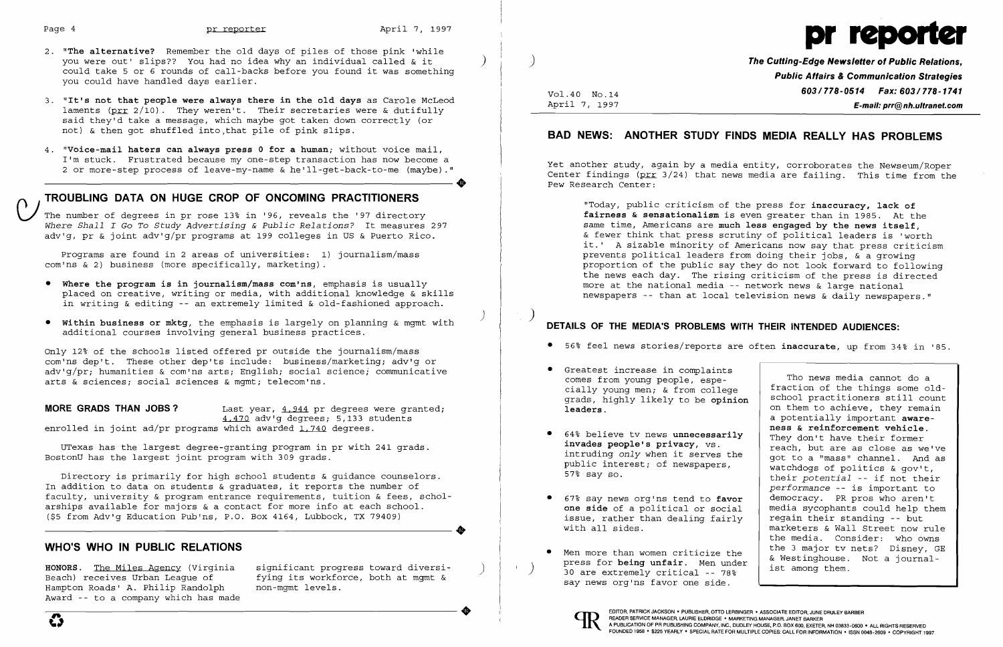)<br>)

 $\big)$ 

- Page 4 **pr reporter** April 7, 1997<br>
2. "The alternative? Remember the old days of piles of those pink 'while<br>
you were out' slips?? You had no idea why an individual called & it (a) you were out' slips?? You had no idea why an individual called & it could take 5 or 6 rounds of call-backs before you found it was something you could have handled days earlier.
- 3. **"It's not that people were always there in the old days** as Carole McLeod laments (prr 2/10). They weren't. Their secretaries were & dutifully said they'd take a message, which maybe got taken down correctly (or not)  $\&$  then got shuffled into that pile of pink slips.
- 4. "Voice-mail haters can always press 0 for a human; without voice mail, I'm stuck. Frustrated because my one-step transaction has now become a 2 or more-step process of leave-my-name & he'll-get-back-to-me (maybe)."

### **TROUBLING DATA ON HUGE CROP OF ONCOMING PRACTITIONERS**

The number of degrees in pr rose 13% in '96, reveals the '97 directory *Where Shall I* Go To *Study Advertising* & *Public Relations?* It measures 297 adv'g, pr & joint adv'g/pr programs at 199 colleges in US & Puerto Rico.

**MORE GRADS THAN JOBS?** Last year, 4,944 pr degrees were granted; 4,470 adv'g degrees; 5,133 students enrolled in joint ad/pr programs which awarded 1,740 degrees.

Programs are found in 2 areas of universities: 1) journalism/mass com'ns & 2) business (more specifically, marketing).

Hampton Roads' A. Philip Randolph Award -- to a company which has made

**HONORS.** The Miles Agency (Virginia significant progress toward diversi-<br>Beach) receives Urban Leaque of fying its workforce, both at mgmt & fying its workforce, both at mgmt & non-mgmt levels.

- **• Where the program is in journalism/mass com'ns,** emphasis is usually placed on creative, writing or media, with additional knowledge & skills in writing & editing -- an extremely limited & old-fashioned approach.
- **• Within business or mktg,** the emphasis is largely on planning & mgmt with additional courses involving general business practices.

Only 12% of the schools listed offered pr outside the journalism/mass com'ns dep't. These other dep'ts include: business/marketing; adv'g or adv'g/pr; humanities & com'ns arts; English; social science; communicative arts & sciences; social sciences & mgmt; telecom'ns.

cially young men; & fraction of the things some old from college on them to achieve, they remain a potentially important **aware-**64% believe tv news unnecessarily They don't have their former<br>invades people's privacy, vs. reach, but are as close as we've<br>got to a "mass" channel. And as public interest; of newspapers, watchdogs of politics & gov't, 57% say so. their *potential* -- if not their *performance* -- is important to democracy. PR pros who aren't media sycophants could help them marketers & Wall Street now rule the media. Consider: who owns • Men more than women criticize the  $\left\{\begin{array}{c}$  the 3 major tv nets? Disney, GE press for **being unfair**. Men under  $\left\{\begin{array}{c}$  & Westinghouse. Not a journal-<br>30 are extremely critical -- 78% and ist among them.

UTexas has the largest degree-granting program in pr with 241 grads. BostonU has the largest joint program with 309 grads.

Directory is primarily for high school students & guidance counselors. In addition to data on students & graduates, it reports the number of faculty, university & program entrance requirements, tuition & fees, scholarships available for majors & a contact for more info at each school. ----------------------+ (\$5 from Adv'g Education Pub'ns, P.O. Box 4164, Lubbock, TX 79409)

#### **WHO'S WHO IN PUBLIC RELATIONS**

**Public Affairs &Communication Strategies**  Vol.40 No.14<br>**603/778-0514 Fax: 603/778-1741**<br>**E-mail: prr@nh.ultranet.com** April 7, 1997 **E-mail: prr@nh.ultranet.com** 

# **BAD NEWS: ANOTHER STUDY FINDS MEDIA REALLY HAS PROBLEMS**

Yet another study, again by a media entity, corroborates the Newseum/Roper Center findings  $(prr 3/24)$  that news media are failing. This time from the Pew Research Center:

"Today, public criticism of the press for **inaccuracy, lack of fairness & sensationalism** is even greater than in 1985. At the same time, Americans are **much less engaged by the news itself,**  & fewer think that press scrutiny of political leaders is 'worth it.' A sizable minority of Americans now say that press criticism prevents political leaders from doing their jobs, & a growing proportion of the public say they do not look forward to following the news each day. The rising criticism of the press is directed more at the national media -- network news & large national newspapers -- than at local television news & daily newspapers."

## **DETAILS OF THE MEDIA'S PROBLEMS WITH THEIR INTENDED AUDIENCES:**

- • 56% feel news stories/reports are often **inaccurate,** up from 34% in '85.
- Greatest increase in complaints<br>
comes from young people, espe-<br>
cially young men: & from college straction of the things some oldgrads, highly likely to be opinion<br>leaders.
- intruding *only* when it serves the public interest; of newspapers,
- **one side** of a political or social • 67% say news org'ns tend to **favor**  issue, rather than dealing fairly<br>with all sides.
- say news org'ns favor one side.